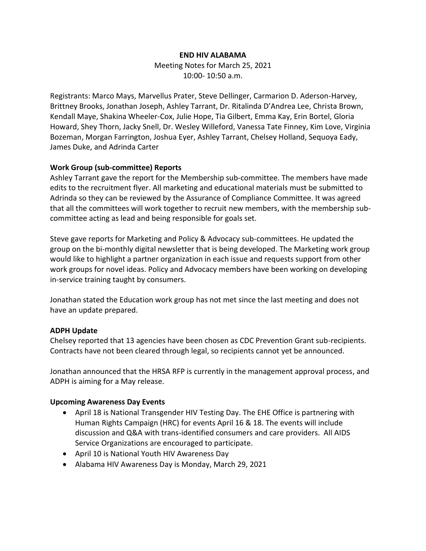#### **END HIV ALABAMA**

Meeting Notes for March 25, 2021 10:00- 10:50 a.m.

Registrants: Marco Mays, Marvellus Prater, Steve Dellinger, Carmarion D. Aderson-Harvey, Brittney Brooks, Jonathan Joseph, Ashley Tarrant, Dr. Ritalinda D'Andrea Lee, Christa Brown, Kendall Maye, Shakina Wheeler-Cox, Julie Hope, Tia Gilbert, Emma Kay, Erin Bortel, Gloria Howard, Shey Thorn, Jacky Snell, Dr. Wesley Willeford, Vanessa Tate Finney, Kim Love, Virginia Bozeman, Morgan Farrington, Joshua Eyer, Ashley Tarrant, Chelsey Holland, Sequoya Eady, James Duke, and Adrinda Carter

## **Work Group (sub-committee) Reports**

Ashley Tarrant gave the report for the Membership sub-committee. The members have made edits to the recruitment flyer. All marketing and educational materials must be submitted to Adrinda so they can be reviewed by the Assurance of Compliance Committee. It was agreed that all the committees will work together to recruit new members, with the membership subcommittee acting as lead and being responsible for goals set.

Steve gave reports for Marketing and Policy & Advocacy sub-committees. He updated the group on the bi-monthly digital newsletter that is being developed. The Marketing work group would like to highlight a partner organization in each issue and requests support from other work groups for novel ideas. Policy and Advocacy members have been working on developing in-service training taught by consumers.

Jonathan stated the Education work group has not met since the last meeting and does not have an update prepared.

# **ADPH Update**

Chelsey reported that 13 agencies have been chosen as CDC Prevention Grant sub-recipients. Contracts have not been cleared through legal, so recipients cannot yet be announced.

Jonathan announced that the HRSA RFP is currently in the management approval process, and ADPH is aiming for a May release.

### **Upcoming Awareness Day Events**

- April 18 is National Transgender HIV Testing Day. The EHE Office is partnering with Human Rights Campaign (HRC) for events April 16 & 18. The events will include discussion and Q&A with trans-identified consumers and care providers. All AIDS Service Organizations are encouraged to participate.
- April 10 is National Youth HIV Awareness Day
- Alabama HIV Awareness Day is Monday, March 29, 2021